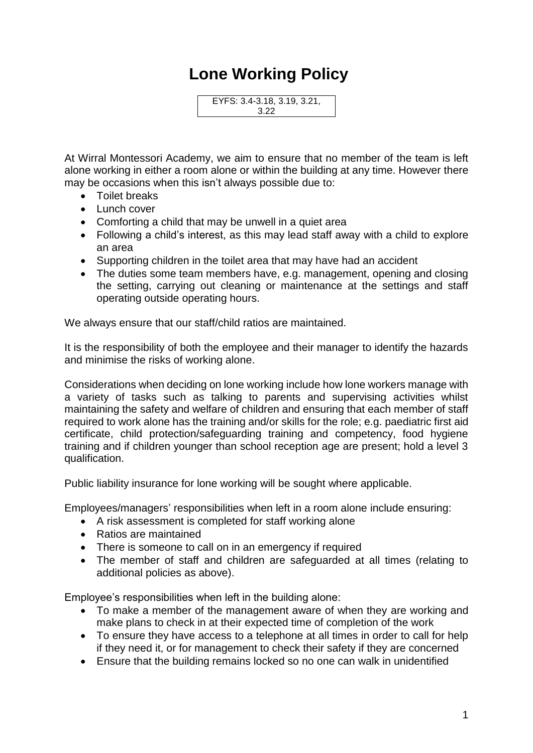## **Lone Working Policy**

EYFS: 3.4-3.18, 3.19, 3.21, 3.22

At Wirral Montessori Academy, we aim to ensure that no member of the team is left alone working in either a room alone or within the building at any time. However there may be occasions when this isn't always possible due to:

- Toilet breaks
- Lunch cover
- Comforting a child that may be unwell in a quiet area
- Following a child's interest, as this may lead staff away with a child to explore an area
- Supporting children in the toilet area that may have had an accident
- The duties some team members have, e.g. management, opening and closing the setting, carrying out cleaning or maintenance at the settings and staff operating outside operating hours.

We always ensure that our staff/child ratios are maintained.

It is the responsibility of both the employee and their manager to identify the hazards and minimise the risks of working alone.

Considerations when deciding on lone working include how lone workers manage with a variety of tasks such as talking to parents and supervising activities whilst maintaining the safety and welfare of children and ensuring that each member of staff required to work alone has the training and/or skills for the role; e.g. paediatric first aid certificate, child protection/safeguarding training and competency, food hygiene training and if children younger than school reception age are present; hold a level 3 qualification.

Public liability insurance for lone working will be sought where applicable.

Employees/managers' responsibilities when left in a room alone include ensuring:

- A risk assessment is completed for staff working alone
- Ratios are maintained
- There is someone to call on in an emergency if required
- The member of staff and children are safeguarded at all times (relating to additional policies as above).

Employee's responsibilities when left in the building alone:

- To make a member of the management aware of when they are working and make plans to check in at their expected time of completion of the work
- To ensure they have access to a telephone at all times in order to call for help if they need it, or for management to check their safety if they are concerned
- Ensure that the building remains locked so no one can walk in unidentified